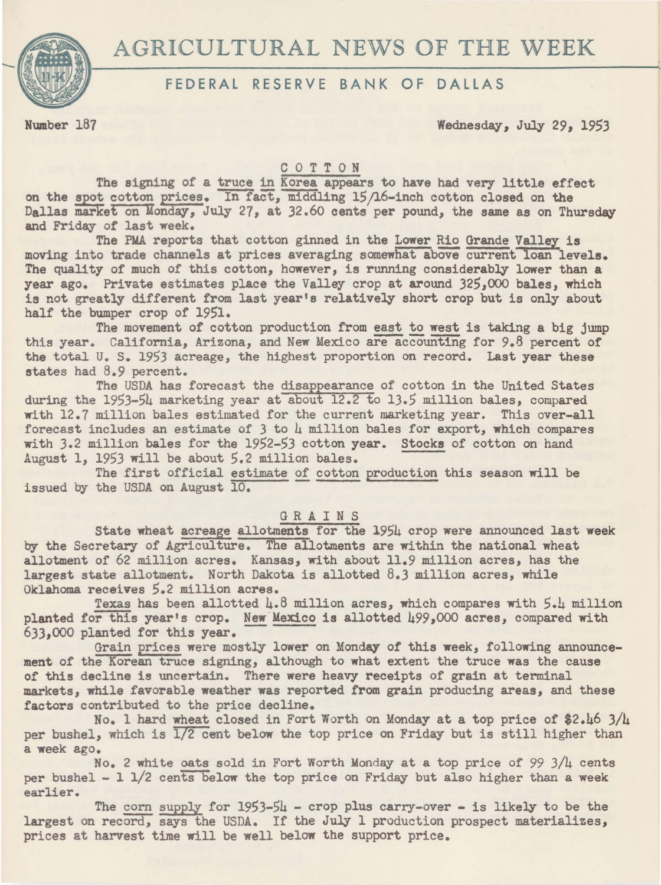

# FEDERAL RESERVE BANK OF DALLAS

Number 187 Wednesday, July 29, 1953

## COTTON

The signing of a truce in Korea appears to have had very little effect on the spot cotton prices. In fact, middling 15/16-inch cotton closed on the Dallas market on Monday, July 27, at 32.60 cents per pound, the same as on Thursday and Friday of last week.

The PMA reports that cotton ginned in the Lower Rio Grande Valley is moving into trade channels at prices averaging somewhat above current loan levels. The quality of much of this cotton, however, is running considerably lower than a year ago. Private estimates place the Valley crop at around 325,000 bales, which is not greatly different from last year's relatively short crop but is only about half the bumper crop of 1951.

The movement of cotton production from east to west is taking a big jump this year. California, Arizona, and New Mexico are accounting for 9.8 percent of the total U. S. 1953 acreage, the highest proportion on record. Last year these states had 8.9 percent.

The USDA has forecast the disappearance of cotton in the United States during the 1953-54 marketing year at about 12.2 to 13.5 million bales, compared with 12.7 million bales estimated for the current marketing year. This over-all forecast includes an estimate of *3* to 4 million bales for export, which compares with 3.2 million bales for the 1952-53 cotton year. Stocks of cotton on hand August 1, 1953 will be about 5.2 million bales.

The first official estimate of cotton production this season will be issued by the USDA on August 10.

## GRAINS

State wheat acreage allotments for the 1954 crop were announced last week by the Secretary of Agriculture. The allotments are within the national wheat allotment of 62 million acres. Kansas, with about 11.9 million acres, has the largest state allotment. North Dakota is allotted 8.3 million acres, while Oklahoma receives 5.2 million acres.

Texas has been allotted 4.8 million acres, which compares with 5.4 million planted for this year's crop. New Mexico is allotted 499,000 acres, compared with 633.000 planted for this year.

Grain prices were mostly lower on Monday of this week, following announcement of the Korean truce signing, although to what extent the truce was the cause of this decline is uncertain. There were heavy receipts of grain at terminal markets, while favorable weather was reported from grain producing areas, and these factors contributed to the price decline.

No. 1 hard wheat closed in Fort Worth on Monday at a top price of \$2.46 3/4 per bushel, which is  $\overline{1/2}$  cent below the top price on Friday but is still higher than a week ago.

No. 2 white oats sold in Fort Worth Monday at a top price of 99  $3/\mu$  cents per bushel  $-1$  1/2 cents below the top price on Friday but also higher than a week earlier.

The corn supply for  $1953-54$  - crop plus carry-over - is likely to be the largest on record, says the USDA. If the July 1 production prospect materializes, prices at harvest time will be well below the support price.